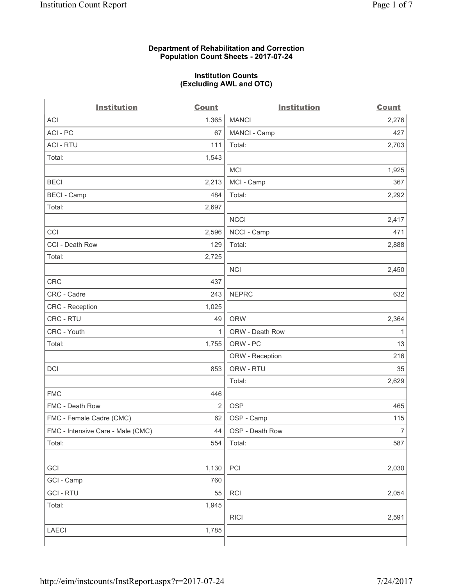#### **Department of Rehabilitation and Correction Population Count Sheets - 2017-07-24**

#### **Institution Counts (Excluding AWL and OTC)**

 $-$ 

| <b>Institution</b>                | <b>Count</b> | <b>Institution</b> | <b>Count</b>   |
|-----------------------------------|--------------|--------------------|----------------|
| <b>ACI</b>                        | 1,365        | <b>MANCI</b>       | 2,276          |
| ACI-PC                            | 67           | MANCI - Camp       | 427            |
| <b>ACI - RTU</b>                  | 111          | Total:             | 2,703          |
| Total:                            | 1,543        |                    |                |
|                                   |              | <b>MCI</b>         | 1,925          |
| <b>BECI</b>                       | 2,213        | MCI - Camp         | 367            |
| <b>BECI - Camp</b>                | 484          | Total:             | 2,292          |
| Total:                            | 2,697        |                    |                |
|                                   |              | <b>NCCI</b>        | 2,417          |
| CCI                               | 2,596        | NCCI - Camp        | 471            |
| CCI - Death Row                   | 129          | Total:             | 2,888          |
| Total:                            | 2,725        |                    |                |
|                                   |              | <b>NCI</b>         | 2,450          |
| <b>CRC</b>                        | 437          |                    |                |
| CRC - Cadre                       | 243          | <b>NEPRC</b>       | 632            |
| <b>CRC</b> - Reception            | 1,025        |                    |                |
| CRC - RTU                         | 49           | <b>ORW</b>         | 2,364          |
| CRC - Youth                       | 1            | ORW - Death Row    | 1              |
| Total:                            | 1,755        | ORW - PC           | 13             |
|                                   |              | ORW - Reception    | 216            |
| DCI                               | 853          | ORW - RTU          | 35             |
|                                   |              | Total:             | 2,629          |
| <b>FMC</b>                        | 446          |                    |                |
| FMC - Death Row                   | 2            | <b>OSP</b>         | 465            |
| FMC - Female Cadre (CMC)          | 62           | OSP - Camp         | 115            |
| FMC - Intensive Care - Male (CMC) | 44           | OSP - Death Row    | $\overline{7}$ |
| Total:                            | 554          | Total:             | 587            |
|                                   |              |                    |                |
| GCI                               | 1,130        | PCI                | 2,030          |
| GCI - Camp                        | 760          |                    |                |
| <b>GCI-RTU</b>                    | 55           | RCI                | 2,054          |
| Total:                            | 1,945        |                    |                |
|                                   |              | <b>RICI</b>        | 2,591          |
| LAECI                             | 1,785        |                    |                |
|                                   |              |                    |                |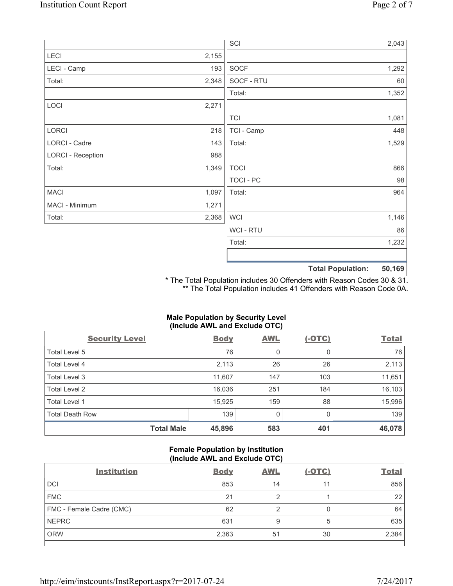|                          |       | SCI              |                          | 2,043  |
|--------------------------|-------|------------------|--------------------------|--------|
| LECI                     | 2,155 |                  |                          |        |
| LECI - Camp              | 193   | SOCF             |                          | 1,292  |
| Total:                   | 2,348 | SOCF - RTU       |                          | 60     |
|                          |       | Total:           |                          | 1,352  |
| LOCI                     | 2,271 |                  |                          |        |
|                          |       | <b>TCI</b>       |                          | 1,081  |
| LORCI                    | 218   | TCI - Camp       |                          | 448    |
| LORCI - Cadre            | 143   | Total:           |                          | 1,529  |
| <b>LORCI - Reception</b> | 988   |                  |                          |        |
| Total:                   | 1,349 | <b>TOCI</b>      |                          | 866    |
|                          |       | <b>TOCI - PC</b> |                          | 98     |
| <b>MACI</b>              | 1,097 | Total:           |                          | 964    |
| MACI - Minimum           | 1,271 |                  |                          |        |
| Total:                   | 2,368 | <b>WCI</b>       |                          | 1,146  |
|                          |       | <b>WCI-RTU</b>   |                          | 86     |
|                          |       | Total:           |                          | 1,232  |
|                          |       |                  |                          |        |
|                          |       |                  | <b>Total Population:</b> | 50,169 |

\* The Total Population includes 30 Offenders with Reason Codes 30 & 31. \*\* The Total Population includes 41 Offenders with Reason Code 0A.

# **Male Population by Security Level (Include AWL and Exclude OTC)**

| <b>Security Level</b>  | <b>Body</b> | <b>AWL</b> | $(-OTC)$ | <b>Total</b> |
|------------------------|-------------|------------|----------|--------------|
| Total Level 5          | 76          | 0          | 0        | 76           |
| Total Level 4          | 2,113       | 26         | 26       | 2,113        |
| Total Level 3          | 11,607      | 147        | 103      | 11,651       |
| Total Level 2          | 16,036      | 251        | 184      | 16,103       |
| Total Level 1          | 15,925      | 159        | 88       | 15,996       |
| <b>Total Death Row</b> | 139         | 0          | 0        | 139          |
| <b>Total Male</b>      | 45,896      | 583        | 401      | 46,078       |

### **Female Population by Institution (Include AWL and Exclude OTC)**

| <b>Institution</b>       | <b>Body</b> | <b>AWL</b> | <u>(-OTC)</u> | <b>Total</b> |
|--------------------------|-------------|------------|---------------|--------------|
| <b>DCI</b>               | 853         | 14         | 11            | 856          |
| <b>FMC</b>               | 21          | 2          |               | 22           |
| FMC - Female Cadre (CMC) | 62          | റ          | 0             | 64           |
| <b>NEPRC</b>             | 631         | 9          | 5             | 635          |
| <b>ORW</b>               | 2,363       | 51         | 30            | 2,384        |
|                          |             |            |               |              |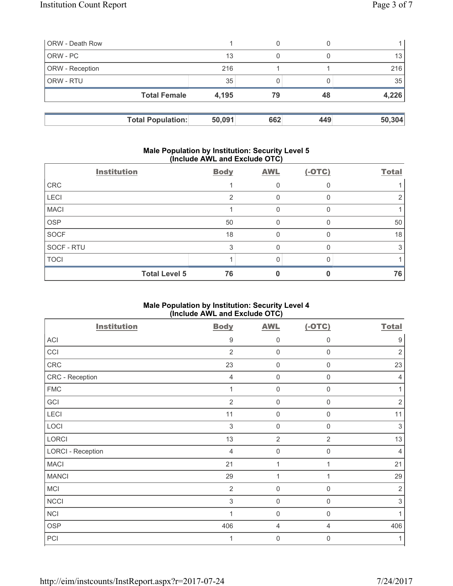| <b>ORW</b> - Death Row |                          |        | 0   |     |        |
|------------------------|--------------------------|--------|-----|-----|--------|
| ORW - PC               |                          | 13     | 0   |     | 13     |
| <b>ORW</b> - Reception |                          | 216    |     |     | 216    |
| <b>ORW - RTU</b>       |                          | 35     |     |     | 35     |
|                        | <b>Total Female</b>      | 4,195  | 79  | 48  | 4,226  |
|                        |                          |        |     |     |        |
|                        | <b>Total Population:</b> | 50,091 | 662 | 449 | 50,304 |

### **Male Population by Institution: Security Level 5 (Include AWL and Exclude OTC)**

|             | <b>Institution</b>   | <b>Body</b>   | <b>AWL</b>   | $(-OTC)$ | <b>Total</b> |
|-------------|----------------------|---------------|--------------|----------|--------------|
| <b>CRC</b>  |                      |               | Ω            |          |              |
| LECI        |                      | $\mathcal{P}$ | 0            |          |              |
| <b>MACI</b> |                      |               | 0            |          |              |
| <b>OSP</b>  |                      | 50            | 0            |          | 50           |
| <b>SOCF</b> |                      | 18            | $\mathbf{0}$ |          | 18           |
| SOCF - RTU  |                      | 3             | 0            |          |              |
| <b>TOCI</b> |                      |               |              |          |              |
|             | <b>Total Level 5</b> | 76            |              |          | 76           |

# **Male Population by Institution: Security Level 4 (Include AWL and Exclude OTC)**

| <b>Institution</b>       | <b>Body</b>    | <b>AWL</b>          | $(-OTC)$         | <b>Total</b>     |
|--------------------------|----------------|---------------------|------------------|------------------|
| ACI                      | 9              | $\mathbf 0$         | 0                | $\boldsymbol{9}$ |
| CCI                      | $\overline{2}$ | $\mathbf 0$         | $\mathbf 0$      | $\sqrt{2}$       |
| ${\sf CRC}$              | 23             | $\mathsf{O}\xspace$ | $\boldsymbol{0}$ | 23               |
| CRC - Reception          | $\overline{4}$ | $\mathsf{O}\xspace$ | $\mathbf 0$      | 4                |
| <b>FMC</b>               | 1              | $\mathbf 0$         | $\boldsymbol{0}$ | 1                |
| GCI                      | $\overline{2}$ | $\mathsf{O}\xspace$ | 0                | $\sqrt{2}$       |
| LECI                     | 11             | 0                   | $\boldsymbol{0}$ | 11               |
| LOCI                     | $\mathsf 3$    | 0                   | $\mathsf{0}$     | $\sqrt{3}$       |
| LORCI                    | 13             | $\overline{2}$      | $\overline{2}$   | 13               |
| <b>LORCI - Reception</b> | $\overline{4}$ | $\mathsf{O}\xspace$ | $\mathbf 0$      | $\overline{4}$   |
| <b>MACI</b>              | 21             | 1                   | 1                | 21               |
| <b>MANCI</b>             | 29             | $\mathbf{1}$        | 1                | 29               |
| <b>MCI</b>               | $\overline{2}$ | $\mathbf 0$         | $\mathbf 0$      | $\overline{2}$   |
| <b>NCCI</b>              | $\mathsf 3$    | $\mathbf 0$         | $\mathbf 0$      | $\sqrt{3}$       |
| <b>NCI</b>               | 1              | $\mathbf 0$         | $\mathbf 0$      | 1                |
| <b>OSP</b>               | 406            | 4                   | 4                | 406              |
| PCI                      | 1              | $\mathbf 0$         | $\boldsymbol{0}$ | 1                |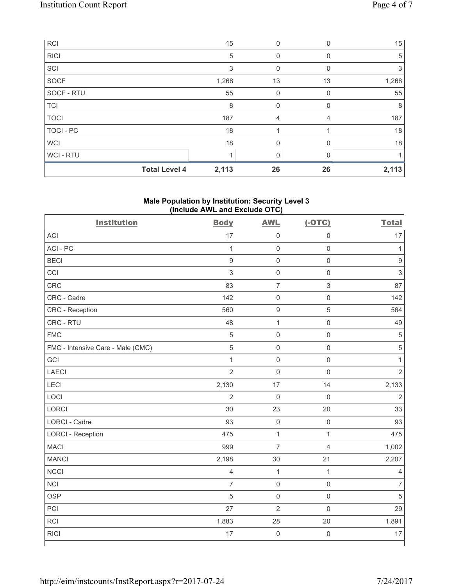| <b>RCI</b>       | 15                            | $\Omega$ | <sup>0</sup> | 15    |
|------------------|-------------------------------|----------|--------------|-------|
| <b>RICI</b>      | 5                             | 0        |              | 5     |
| SCI              | 3                             | 0        | 0            | 3     |
| <b>SOCF</b>      | 1,268                         | 13       | 13           | 1,268 |
| SOCF - RTU       | 55                            | 0        | 0            | 55    |
| <b>TCI</b>       | 8                             | 0        | <sup>0</sup> | 8     |
| <b>TOCI</b>      | 187                           | 4        | 4            | 187   |
| <b>TOCI - PC</b> | 18                            |          |              | 18    |
| <b>WCI</b>       | 18                            | 0        | $\Omega$     | 18    |
| WCI - RTU        |                               | 0        |              |       |
|                  | <b>Total Level 4</b><br>2,113 | 26       | 26           | 2,113 |

# **Male Population by Institution: Security Level 3 (Include AWL and Exclude OTC)**

| <b>Institution</b>                | <b>Body</b>    | <b>AWL</b>          | $(-OTC)$            | <b>Total</b>              |
|-----------------------------------|----------------|---------------------|---------------------|---------------------------|
| <b>ACI</b>                        | 17             | $\mathsf{O}\xspace$ | $\mathbf 0$         | 17                        |
| ACI-PC                            | $\mathbf{1}$   | $\mathsf 0$         | $\mathsf 0$         | $\mathbf{1}$              |
| <b>BECI</b>                       | $\mathsf g$    | $\mathsf 0$         | $\mathsf 0$         | $\mathsf g$               |
| CCI                               | $\mathfrak{S}$ | $\mathsf{O}\xspace$ | $\mathsf{O}\xspace$ | $\ensuremath{\mathsf{3}}$ |
| <b>CRC</b>                        | 83             | $\overline{7}$      | $\mathsf 3$         | 87                        |
| CRC - Cadre                       | 142            | $\mathbf 0$         | $\mathbf 0$         | 142                       |
| CRC - Reception                   | 560            | $\mathsf g$         | 5                   | 564                       |
| CRC - RTU                         | 48             | $\mathbf 1$         | $\mathsf 0$         | 49                        |
| <b>FMC</b>                        | $\sqrt{5}$     | $\mathsf{O}\xspace$ | $\mathsf{O}\xspace$ | $\sqrt{5}$                |
| FMC - Intensive Care - Male (CMC) | $\sqrt{5}$     | $\mathsf{O}\xspace$ | $\mathsf 0$         | $\sqrt{5}$                |
| GCI                               | $\mathbf{1}$   | $\mathsf{O}\xspace$ | $\mathsf 0$         | $\mathbf{1}$              |
| <b>LAECI</b>                      | $\overline{2}$ | $\mathsf{O}\xspace$ | $\mathsf 0$         | $\overline{2}$            |
| LECI                              | 2,130          | 17                  | 14                  | 2,133                     |
| LOCI                              | $\overline{2}$ | $\mathbf 0$         | $\mathbf 0$         | $\overline{2}$            |
| LORCI                             | 30             | 23                  | 20                  | 33                        |
| <b>LORCI - Cadre</b>              | 93             | $\mathbf 0$         | $\mathbf 0$         | 93                        |
| <b>LORCI - Reception</b>          | 475            | $\mathbf 1$         | $\mathbf{1}$        | 475                       |
| <b>MACI</b>                       | 999            | $\overline{7}$      | 4                   | 1,002                     |
| <b>MANCI</b>                      | 2,198          | 30                  | 21                  | 2,207                     |
| <b>NCCI</b>                       | $\overline{4}$ | $\mathbf{1}$        | $\mathbf{1}$        | 4                         |
| <b>NCI</b>                        | $\overline{7}$ | $\mathsf{O}\xspace$ | $\mathsf 0$         | $\overline{7}$            |
| <b>OSP</b>                        | 5              | $\mathsf{O}\xspace$ | $\mathsf 0$         | $\overline{5}$            |
| PCI                               | 27             | $\overline{2}$      | $\mathbf 0$         | 29                        |
| <b>RCI</b>                        | 1,883          | 28                  | 20                  | 1,891                     |
| <b>RICI</b>                       | 17             | $\mathbf 0$         | $\mathbf 0$         | 17                        |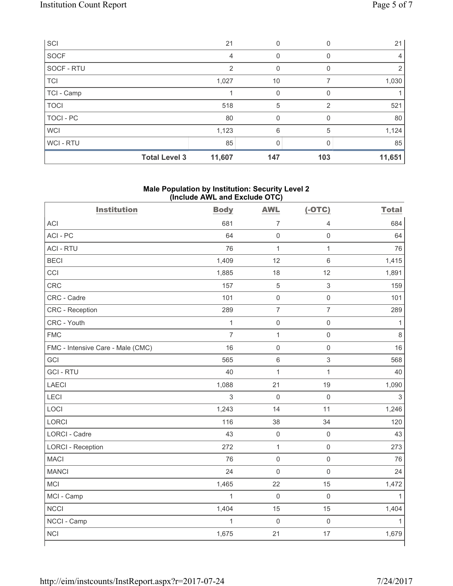| SCI                  | 21             | 0            | 0   | 21     |
|----------------------|----------------|--------------|-----|--------|
| SOCF                 | 4              | 0            |     | 4      |
| SOCF - RTU           | $\mathfrak{p}$ | 0            | 0   | 2      |
| <b>TCI</b>           | 1,027          | 10           |     | 1,030  |
| TCI - Camp           |                | $\mathbf{0}$ |     |        |
| <b>TOCI</b>          | 518            | 5            | 2   | 521    |
| TOCI - PC            | 80             | $\mathbf 0$  | 0   | 80     |
| <b>WCI</b>           | 1,123          | 6            | 5   | 1,124  |
| <b>WCI-RTU</b>       | 85             | 0            |     | 85     |
| <b>Total Level 3</b> | 11,607         | 147          | 103 | 11,651 |

## **Male Population by Institution: Security Level 2 (Include AWL and Exclude OTC)**

| <b>Institution</b>                | <b>Body</b>    | <b>AWL</b>          | $(-OTC)$                  | <b>Total</b>   |
|-----------------------------------|----------------|---------------------|---------------------------|----------------|
| <b>ACI</b>                        | 681            | $\overline{7}$      | $\overline{4}$            | 684            |
| ACI-PC                            | 64             | $\mathsf 0$         | $\mathsf{O}\xspace$       | 64             |
| <b>ACI - RTU</b>                  | 76             | $\mathbf{1}$        | $\mathbf{1}$              | 76             |
| <b>BECI</b>                       | 1,409          | 12                  | $\,6\,$                   | 1,415          |
| CCI                               | 1,885          | 18                  | 12                        | 1,891          |
| <b>CRC</b>                        | 157            | $\,$ 5 $\,$         | $\sqrt{3}$                | 159            |
| CRC - Cadre                       | 101            | $\mathsf{O}\xspace$ | $\mathsf 0$               | 101            |
| CRC - Reception                   | 289            | $\overline{7}$      | $\overline{7}$            | 289            |
| CRC - Youth                       | $\mathbf{1}$   | $\mathsf 0$         | $\mathsf{O}\xspace$       | 1              |
| <b>FMC</b>                        | $\overline{7}$ | $\mathbf{1}$        | $\mathbf 0$               | 8              |
| FMC - Intensive Care - Male (CMC) | 16             | $\mathsf{O}\xspace$ | $\mathbf 0$               | 16             |
| GCI                               | 565            | $\,6\,$             | $\ensuremath{\mathsf{3}}$ | 568            |
| <b>GCI-RTU</b>                    | 40             | $\mathbf{1}$        | $\mathbf{1}$              | 40             |
| <b>LAECI</b>                      | 1,088          | 21                  | 19                        | 1,090          |
| LECI                              | 3              | $\mathbf 0$         | $\mathsf 0$               | $\mathfrak{S}$ |
| LOCI                              | 1,243          | 14                  | 11                        | 1,246          |
| <b>LORCI</b>                      | 116            | 38                  | 34                        | 120            |
| <b>LORCI - Cadre</b>              | 43             | $\mathsf{O}\xspace$ | $\mathsf{O}\xspace$       | 43             |
| <b>LORCI - Reception</b>          | 272            | $\mathbf{1}$        | $\mathbf 0$               | 273            |
| <b>MACI</b>                       | 76             | $\mathsf 0$         | $\mathsf 0$               | 76             |
| <b>MANCI</b>                      | 24             | $\mathsf{O}\xspace$ | $\mathbf 0$               | 24             |
| <b>MCI</b>                        | 1,465          | 22                  | 15                        | 1,472          |
| MCI - Camp                        | $\mathbf{1}$   | $\mathbf 0$         | $\mathsf 0$               | $\mathbf{1}$   |
| <b>NCCI</b>                       | 1,404          | 15                  | 15                        | 1,404          |
| NCCI - Camp                       | $\mathbf{1}$   | $\mathbf 0$         | $\mathbf 0$               | 1              |
| <b>NCI</b>                        | 1,675          | 21                  | 17                        | 1,679          |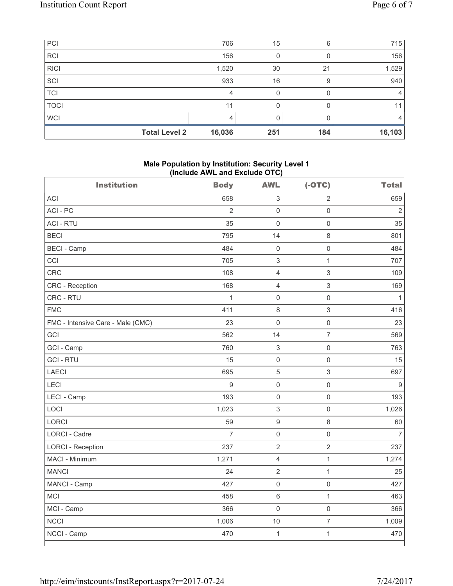| PCI         |                      | 706    | 15  | 6   | 715     |
|-------------|----------------------|--------|-----|-----|---------|
| <b>RCI</b>  |                      | 156    |     |     | 156     |
| <b>RICI</b> |                      | 1,520  | 30  | 21  | 1,529   |
| SCI         |                      | 933    | 16  | 9   | 940     |
| <b>TCI</b>  |                      | 4      | O   |     | 4       |
| <b>TOCI</b> |                      | 11     |     |     | 11      |
| <b>WCI</b>  |                      |        |     |     | 4       |
|             | <b>Total Level 2</b> | 16,036 | 251 | 184 | 16, 103 |

## **Male Population by Institution: Security Level 1 (Include AWL and Exclude OTC)**

| 659<br><b>ACI</b><br>658<br>3<br>$\overline{2}$<br>ACI - PC<br>$\overline{2}$<br>$\overline{2}$<br>$\mathbf 0$<br>$\mathbf 0$<br><b>ACI - RTU</b><br>35<br>$\mathbf 0$<br>$\mathsf{O}\xspace$<br>35<br><b>BECI</b><br>8<br>795<br>14<br>801<br><b>BECI - Camp</b><br>484<br>$\mathsf{O}\xspace$<br>484<br>$\mathbf 0$<br>CCI<br>705<br>3<br>$\mathbf{1}$<br>707<br>$\mathfrak{S}$<br><b>CRC</b><br>108<br>$\overline{4}$<br>109<br>3<br><b>CRC</b> - Reception<br>168<br>4<br>169<br>CRC - RTU<br>$\mathbf{1}$<br>$\mathsf{O}\xspace$<br>$\mathsf{O}\xspace$<br>$\mathbf{1}$<br><b>FMC</b><br>3<br>411<br>8<br>416<br>23<br>$\mathbf 0$<br>$\mathsf{O}\xspace$<br>23<br>FMC - Intensive Care - Male (CMC)<br>$\overline{7}$<br>GCI<br>562<br>14<br>569<br>GCI - Camp<br>760<br>3<br>$\mathsf{O}\xspace$<br>763<br><b>GCI-RTU</b><br>$\mathsf{O}\xspace$<br>15<br>$\mathsf 0$<br>15<br><b>LAECI</b><br>$\mathfrak{S}$<br>695<br>$\mathbf 5$<br>697<br>$\mathsf g$<br>$\overline{9}$<br>$\mathsf{O}\xspace$<br>LECI<br>$\mathsf 0$<br>193<br>$\mathsf{O}\xspace$<br>$\mathsf{O}\xspace$<br>LECI - Camp<br>193<br>LOCI<br>$\mathsf{O}\xspace$<br>1,023<br>$\ensuremath{\mathsf{3}}$<br>1,026<br>LORCI<br>59<br>$\boldsymbol{9}$<br>$\,8\,$<br>60<br>$\overline{7}$<br><b>LORCI - Cadre</b><br>$\mathsf{O}\xspace$<br>$\overline{7}$<br>$\mathsf{O}\xspace$<br>237<br>$\overline{2}$<br><b>LORCI - Reception</b><br>$\overline{2}$<br>237<br>MACI - Minimum<br>1,271<br>4<br>$\mathbf{1}$<br>1,274<br><b>MANCI</b><br>24<br>$\overline{2}$<br>$\mathbf{1}$<br>25<br>$\mathsf{O}\xspace$<br>427<br>$\mathbf 0$<br>427<br>MANCI - Camp<br>MCI<br>458<br>6<br>$\mathbf{1}$<br>463<br>MCI - Camp<br>$\mathbf 0$<br>$\mathsf{O}\xspace$<br>366<br>366<br><b>NCCI</b><br>$\overline{7}$<br>1,009<br>1,006<br>10<br>$\mathbf{1}$<br>$\mathbf{1}$<br>470<br>NCCI - Camp<br>470 | <b>Institution</b> | <b>Body</b> | <b>AWL</b> | $(-OTC)$ | <b>Total</b> |
|--------------------------------------------------------------------------------------------------------------------------------------------------------------------------------------------------------------------------------------------------------------------------------------------------------------------------------------------------------------------------------------------------------------------------------------------------------------------------------------------------------------------------------------------------------------------------------------------------------------------------------------------------------------------------------------------------------------------------------------------------------------------------------------------------------------------------------------------------------------------------------------------------------------------------------------------------------------------------------------------------------------------------------------------------------------------------------------------------------------------------------------------------------------------------------------------------------------------------------------------------------------------------------------------------------------------------------------------------------------------------------------------------------------------------------------------------------------------------------------------------------------------------------------------------------------------------------------------------------------------------------------------------------------------------------------------------------------------------------------------------------------------------------------------------------------------------------------------------------------------|--------------------|-------------|------------|----------|--------------|
|                                                                                                                                                                                                                                                                                                                                                                                                                                                                                                                                                                                                                                                                                                                                                                                                                                                                                                                                                                                                                                                                                                                                                                                                                                                                                                                                                                                                                                                                                                                                                                                                                                                                                                                                                                                                                                                                    |                    |             |            |          |              |
|                                                                                                                                                                                                                                                                                                                                                                                                                                                                                                                                                                                                                                                                                                                                                                                                                                                                                                                                                                                                                                                                                                                                                                                                                                                                                                                                                                                                                                                                                                                                                                                                                                                                                                                                                                                                                                                                    |                    |             |            |          |              |
|                                                                                                                                                                                                                                                                                                                                                                                                                                                                                                                                                                                                                                                                                                                                                                                                                                                                                                                                                                                                                                                                                                                                                                                                                                                                                                                                                                                                                                                                                                                                                                                                                                                                                                                                                                                                                                                                    |                    |             |            |          |              |
|                                                                                                                                                                                                                                                                                                                                                                                                                                                                                                                                                                                                                                                                                                                                                                                                                                                                                                                                                                                                                                                                                                                                                                                                                                                                                                                                                                                                                                                                                                                                                                                                                                                                                                                                                                                                                                                                    |                    |             |            |          |              |
|                                                                                                                                                                                                                                                                                                                                                                                                                                                                                                                                                                                                                                                                                                                                                                                                                                                                                                                                                                                                                                                                                                                                                                                                                                                                                                                                                                                                                                                                                                                                                                                                                                                                                                                                                                                                                                                                    |                    |             |            |          |              |
|                                                                                                                                                                                                                                                                                                                                                                                                                                                                                                                                                                                                                                                                                                                                                                                                                                                                                                                                                                                                                                                                                                                                                                                                                                                                                                                                                                                                                                                                                                                                                                                                                                                                                                                                                                                                                                                                    |                    |             |            |          |              |
|                                                                                                                                                                                                                                                                                                                                                                                                                                                                                                                                                                                                                                                                                                                                                                                                                                                                                                                                                                                                                                                                                                                                                                                                                                                                                                                                                                                                                                                                                                                                                                                                                                                                                                                                                                                                                                                                    |                    |             |            |          |              |
|                                                                                                                                                                                                                                                                                                                                                                                                                                                                                                                                                                                                                                                                                                                                                                                                                                                                                                                                                                                                                                                                                                                                                                                                                                                                                                                                                                                                                                                                                                                                                                                                                                                                                                                                                                                                                                                                    |                    |             |            |          |              |
|                                                                                                                                                                                                                                                                                                                                                                                                                                                                                                                                                                                                                                                                                                                                                                                                                                                                                                                                                                                                                                                                                                                                                                                                                                                                                                                                                                                                                                                                                                                                                                                                                                                                                                                                                                                                                                                                    |                    |             |            |          |              |
|                                                                                                                                                                                                                                                                                                                                                                                                                                                                                                                                                                                                                                                                                                                                                                                                                                                                                                                                                                                                                                                                                                                                                                                                                                                                                                                                                                                                                                                                                                                                                                                                                                                                                                                                                                                                                                                                    |                    |             |            |          |              |
|                                                                                                                                                                                                                                                                                                                                                                                                                                                                                                                                                                                                                                                                                                                                                                                                                                                                                                                                                                                                                                                                                                                                                                                                                                                                                                                                                                                                                                                                                                                                                                                                                                                                                                                                                                                                                                                                    |                    |             |            |          |              |
|                                                                                                                                                                                                                                                                                                                                                                                                                                                                                                                                                                                                                                                                                                                                                                                                                                                                                                                                                                                                                                                                                                                                                                                                                                                                                                                                                                                                                                                                                                                                                                                                                                                                                                                                                                                                                                                                    |                    |             |            |          |              |
|                                                                                                                                                                                                                                                                                                                                                                                                                                                                                                                                                                                                                                                                                                                                                                                                                                                                                                                                                                                                                                                                                                                                                                                                                                                                                                                                                                                                                                                                                                                                                                                                                                                                                                                                                                                                                                                                    |                    |             |            |          |              |
|                                                                                                                                                                                                                                                                                                                                                                                                                                                                                                                                                                                                                                                                                                                                                                                                                                                                                                                                                                                                                                                                                                                                                                                                                                                                                                                                                                                                                                                                                                                                                                                                                                                                                                                                                                                                                                                                    |                    |             |            |          |              |
|                                                                                                                                                                                                                                                                                                                                                                                                                                                                                                                                                                                                                                                                                                                                                                                                                                                                                                                                                                                                                                                                                                                                                                                                                                                                                                                                                                                                                                                                                                                                                                                                                                                                                                                                                                                                                                                                    |                    |             |            |          |              |
|                                                                                                                                                                                                                                                                                                                                                                                                                                                                                                                                                                                                                                                                                                                                                                                                                                                                                                                                                                                                                                                                                                                                                                                                                                                                                                                                                                                                                                                                                                                                                                                                                                                                                                                                                                                                                                                                    |                    |             |            |          |              |
|                                                                                                                                                                                                                                                                                                                                                                                                                                                                                                                                                                                                                                                                                                                                                                                                                                                                                                                                                                                                                                                                                                                                                                                                                                                                                                                                                                                                                                                                                                                                                                                                                                                                                                                                                                                                                                                                    |                    |             |            |          |              |
|                                                                                                                                                                                                                                                                                                                                                                                                                                                                                                                                                                                                                                                                                                                                                                                                                                                                                                                                                                                                                                                                                                                                                                                                                                                                                                                                                                                                                                                                                                                                                                                                                                                                                                                                                                                                                                                                    |                    |             |            |          |              |
|                                                                                                                                                                                                                                                                                                                                                                                                                                                                                                                                                                                                                                                                                                                                                                                                                                                                                                                                                                                                                                                                                                                                                                                                                                                                                                                                                                                                                                                                                                                                                                                                                                                                                                                                                                                                                                                                    |                    |             |            |          |              |
|                                                                                                                                                                                                                                                                                                                                                                                                                                                                                                                                                                                                                                                                                                                                                                                                                                                                                                                                                                                                                                                                                                                                                                                                                                                                                                                                                                                                                                                                                                                                                                                                                                                                                                                                                                                                                                                                    |                    |             |            |          |              |
|                                                                                                                                                                                                                                                                                                                                                                                                                                                                                                                                                                                                                                                                                                                                                                                                                                                                                                                                                                                                                                                                                                                                                                                                                                                                                                                                                                                                                                                                                                                                                                                                                                                                                                                                                                                                                                                                    |                    |             |            |          |              |
|                                                                                                                                                                                                                                                                                                                                                                                                                                                                                                                                                                                                                                                                                                                                                                                                                                                                                                                                                                                                                                                                                                                                                                                                                                                                                                                                                                                                                                                                                                                                                                                                                                                                                                                                                                                                                                                                    |                    |             |            |          |              |
|                                                                                                                                                                                                                                                                                                                                                                                                                                                                                                                                                                                                                                                                                                                                                                                                                                                                                                                                                                                                                                                                                                                                                                                                                                                                                                                                                                                                                                                                                                                                                                                                                                                                                                                                                                                                                                                                    |                    |             |            |          |              |
|                                                                                                                                                                                                                                                                                                                                                                                                                                                                                                                                                                                                                                                                                                                                                                                                                                                                                                                                                                                                                                                                                                                                                                                                                                                                                                                                                                                                                                                                                                                                                                                                                                                                                                                                                                                                                                                                    |                    |             |            |          |              |
|                                                                                                                                                                                                                                                                                                                                                                                                                                                                                                                                                                                                                                                                                                                                                                                                                                                                                                                                                                                                                                                                                                                                                                                                                                                                                                                                                                                                                                                                                                                                                                                                                                                                                                                                                                                                                                                                    |                    |             |            |          |              |
|                                                                                                                                                                                                                                                                                                                                                                                                                                                                                                                                                                                                                                                                                                                                                                                                                                                                                                                                                                                                                                                                                                                                                                                                                                                                                                                                                                                                                                                                                                                                                                                                                                                                                                                                                                                                                                                                    |                    |             |            |          |              |
|                                                                                                                                                                                                                                                                                                                                                                                                                                                                                                                                                                                                                                                                                                                                                                                                                                                                                                                                                                                                                                                                                                                                                                                                                                                                                                                                                                                                                                                                                                                                                                                                                                                                                                                                                                                                                                                                    |                    |             |            |          |              |
|                                                                                                                                                                                                                                                                                                                                                                                                                                                                                                                                                                                                                                                                                                                                                                                                                                                                                                                                                                                                                                                                                                                                                                                                                                                                                                                                                                                                                                                                                                                                                                                                                                                                                                                                                                                                                                                                    |                    |             |            |          |              |